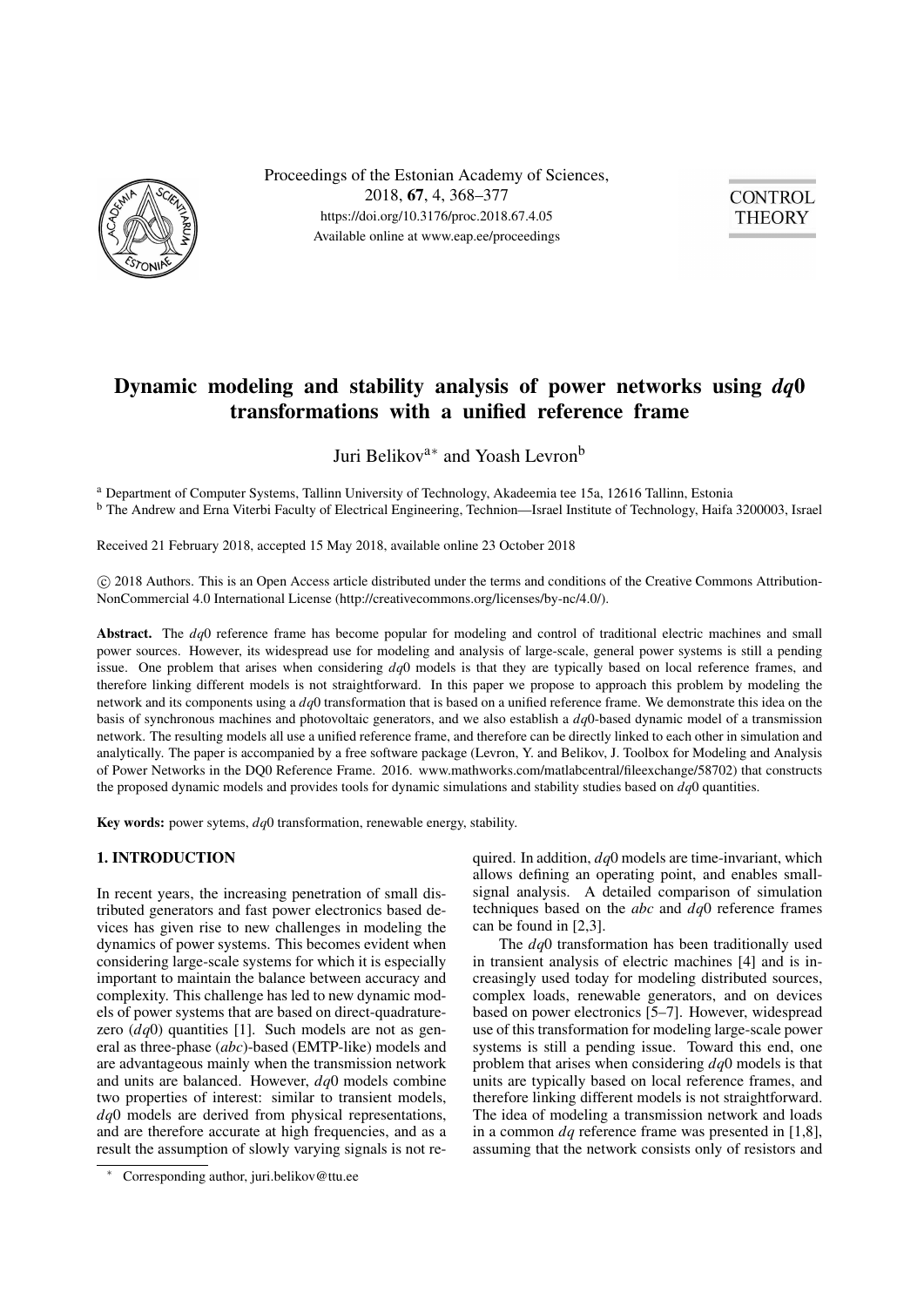

Proceedings of the Estonian Academy of Sciences, 2018, 67, 4, 368–377 https://doi.org/10.3176/proc.2018.67.4.05 Available online at www.eap.ee/proceedings



# Dynamic modeling and stability analysis of power networks using *dq*0 transformations with a unified reference frame

Juri Belikov<sup>a∗</sup> and Yoash Levron<sup>b</sup>

<sup>a</sup> Department of Computer Systems, Tallinn University of Technology, Akadeemia tee 15a, 12616 Tallinn, Estonia <sup>b</sup> The Andrew and Erna Viterbi Faculty of Electrical Engineering, Technion—Israel Institute of Technology, Haifa 3200003, Israel

Received 21 February 2018, accepted 15 May 2018, available online 23 October 2018

 c 2018 Authors. This is an Open Access article distributed under the terms and conditions of the Creative Commons Attribution-NonCommercial 4.0 International License (http://creativecommons.org/licenses/by-nc/4.0/).

Abstract. The *dq*0 reference frame has become popular for modeling and control of traditional electric machines and small power sources. However, its widespread use for modeling and analysis of large-scale, general power systems is still a pending issue. One problem that arises when considering *dq*0 models is that they are typically based on local reference frames, and therefore linking different models is not straightforward. In this paper we propose to approach this problem by modeling the network and its components using a *dq*0 transformation that is based on a unified reference frame. We demonstrate this idea on the basis of synchronous machines and photovoltaic generators, and we also establish a *dq*0-based dynamic model of a transmission network. The resulting models all use a unified reference frame, and therefore can be directly linked to each other in simulation and analytically. The paper is accompanied by a free software package (Levron, Y. and Belikov, J. Toolbox for Modeling and Analysis of Power Networks in the DQ0 Reference Frame. 2016. www.mathworks.com/matlabcentral/fileexchange/58702) that constructs the proposed dynamic models and provides tools for dynamic simulations and stability studies based on *dq*0 quantities.

Key words: power sytems, *dq*0 transformation, renewable energy, stability.

## 1. INTRODUCTION

In recent years, the increasing penetration of small distributed generators and fast power electronics based devices has given rise to new challenges in modeling the dynamics of power systems. This becomes evident when considering large-scale systems for which it is especially important to maintain the balance between accuracy and complexity. This challenge has led to new dynamic models of power systems that are based on direct-quadraturezero (*dq*0) quantities [\[1\]](#page-8-0). Such models are not as general as three-phase (*abc*)-based (EMTP-like) models and are advantageous mainly when the transmission network and units are balanced. However, *dq*0 models combine two properties of interest: similar to transient models, *dq*0 models are derived from physical representations, and are therefore accurate at high frequencies, and as a result the assumption of slowly varying signals is not re-

<sup>∗</sup> Corresponding author, juri.belikov@ttu.ee

quired. In addition, *dq*0 models are time-invariant, which allows defining an operating point, and enables smallsignal analysis. A detailed comparison of simulation techniques based on the *abc* and *dq*0 reference frames can be found in [\[2,](#page-8-1)[3\]](#page-8-2).

The *dq*0 transformation has been traditionally used in transient analysis of electric machines [\[4\]](#page-8-3) and is increasingly used today for modeling distributed sources, complex loads, renewable generators, and on devices based on power electronics [\[5](#page-8-4)[–7\]](#page-8-5). However, widespread use of this transformation for modeling large-scale power systems is still a pending issue. Toward this end, one problem that arises when considering *dq*0 models is that units are typically based on local reference frames, and therefore linking different models is not straightforward. The idea of modeling a transmission network and loads in a common *dq* reference frame was presented in [\[1](#page-8-0)[,8\]](#page-8-6), assuming that the network consists only of resistors and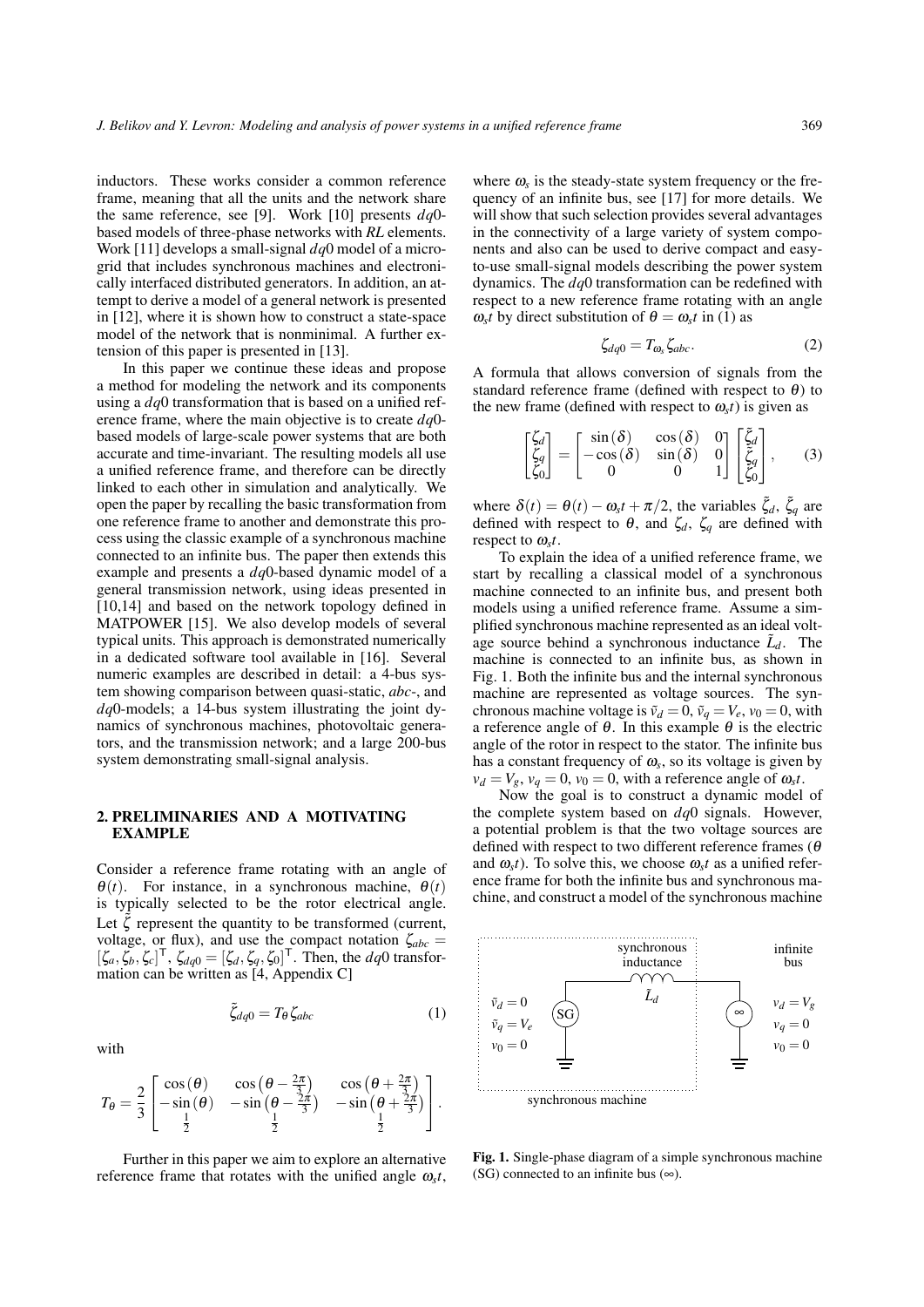inductors. These works consider a common reference frame, meaning that all the units and the network share the same reference, see [\[9\]](#page-8-7). Work [\[10\]](#page-8-8) presents *dq*0 based models of three-phase networks with *RL* elements. Work [\[11\]](#page-8-9) develops a small-signal *dq*0 model of a microgrid that includes synchronous machines and electronically interfaced distributed generators. In addition, an attempt to derive a model of a general network is presented in [\[12\]](#page-8-10), where it is shown how to construct a state-space model of the network that is nonminimal. A further extension of this paper is presented in [\[13\]](#page-8-11).

In this paper we continue these ideas and propose a method for modeling the network and its components using a *dq*0 transformation that is based on a unified reference frame, where the main objective is to create *dq*0 based models of large-scale power systems that are both accurate and time-invariant. The resulting models all use a unified reference frame, and therefore can be directly linked to each other in simulation and analytically. We open the paper by recalling the basic transformation from one reference frame to another and demonstrate this process using the classic example of a synchronous machine connected to an infinite bus. The paper then extends this example and presents a *dq*0-based dynamic model of a general transmission network, using ideas presented in [\[10,](#page-8-8)[14\]](#page-8-12) and based on the network topology defined in MATPOWER [\[15\]](#page-8-13). We also develop models of several typical units. This approach is demonstrated numerically in a dedicated software tool available in [\[16\]](#page-8-14). Several numeric examples are described in detail: a 4-bus system showing comparison between quasi-static, *abc*-, and *dq*0-models; a 14-bus system illustrating the joint dynamics of synchronous machines, photovoltaic generators, and the transmission network; and a large 200-bus system demonstrating small-signal analysis.

### 2. PRELIMINARIES AND A MOTIVATING EXAMPLE

Consider a reference frame rotating with an angle of  $\theta(t)$ . For instance, in a synchronous machine,  $\theta(t)$ is typically selected to be the rotor electrical angle. Let  $\zeta$  represent the quantity to be transformed (current, voltage, or flux), and use the compact notation  $\zeta_{abc}$  =  $[\zeta_a, \zeta_b, \zeta_c]^\mathsf{T}$ ,  $\zeta_{dq0} = [\zeta_d, \zeta_q, \zeta_0]^\mathsf{T}$ . Then, the *dq*0 transformation can be written as [\[4,](#page-8-3) Appendix C]

<span id="page-1-0"></span> $\tilde{\zeta}_{d\rho 0} = T_{\theta} \zeta_{abc}$  (1)

with

$$
T_{\theta} = \frac{2}{3} \begin{bmatrix} \cos(\theta) & \cos(\theta - \frac{2\pi}{3}) & \cos(\theta + \frac{2\pi}{3}) \\ -\sin(\theta) & -\sin(\theta - \frac{2\pi}{3}) & -\sin(\theta + \frac{2\pi}{3}) \\ \frac{1}{2} & \frac{1}{2} & \frac{1}{2} \end{bmatrix}.
$$

Further in this paper we aim to explore an alternative reference frame that rotates with the unified angle  $\omega_s t$ ,

where  $\omega_s$  is the steady-state system frequency or the frequency of an infinite bus, see [\[17\]](#page-8-15) for more details. We will show that such selection provides several advantages in the connectivity of a large variety of system components and also can be used to derive compact and easyto-use small-signal models describing the power system dynamics. The *dq*0 transformation can be redefined with respect to a new reference frame rotating with an angle  $\omega_s t$  by direct substitution of  $\theta = \omega_s t$  in [\(1\)](#page-1-0) as

<span id="page-1-3"></span>
$$
\zeta_{dq0} = T_{\omega_s} \zeta_{abc}.
$$
 (2)

A formula that allows conversion of signals from the standard reference frame (defined with respect to  $\theta$ ) to the new frame (defined with respect to  $\omega_s t$ ) is given as

<span id="page-1-2"></span>
$$
\begin{bmatrix} \zeta_d \\ \zeta_q \\ \zeta_0 \end{bmatrix} = \begin{bmatrix} \sin(\delta) & \cos(\delta) & 0 \\ -\cos(\delta) & \sin(\delta) & 0 \\ 0 & 0 & 1 \end{bmatrix} \begin{bmatrix} \tilde{\zeta}_d \\ \tilde{\zeta}_q \\ \tilde{\zeta}_0 \end{bmatrix},
$$
 (3)

where  $\delta(t) = \theta(t) - \omega_s t + \pi/2$ , the variables  $\tilde{\zeta}_d$ ,  $\tilde{\zeta}_q$  are defined with respect to  $\theta$ , and  $\zeta_d$ ,  $\zeta_q$  are defined with respect to ω*<sup>s</sup> t*.

To explain the idea of a unified reference frame, we start by recalling a classical model of a synchronous machine connected to an infinite bus, and present both models using a unified reference frame. Assume a simplified synchronous machine represented as an ideal voltage source behind a synchronous inductance  $\tilde{L}_d$ . The machine is connected to an infinite bus, as shown in Fig. [1.](#page-1-1) Both the infinite bus and the internal synchronous machine are represented as voltage sources. The synchronous machine voltage is  $\tilde{v}_d = 0$ ,  $\tilde{v}_q = V_e$ ,  $v_0 = 0$ , with a reference angle of  $\theta$ . In this example  $\theta$  is the electric angle of the rotor in respect to the stator. The infinite bus has a constant frequency of  $\omega_s$ , so its voltage is given by  $v_d = V_g$ ,  $v_q = 0$ ,  $v_0 = 0$ , with a reference angle of  $\omega_s t$ .

Now the goal is to construct a dynamic model of the complete system based on *dq*0 signals. However, a potential problem is that the two voltage sources are defined with respect to two different reference frames ( $\theta$ and  $\omega_s t$ ). To solve this, we choose  $\omega_s t$  as a unified reference frame for both the infinite bus and synchronous machine, and construct a model of the synchronous machine



<span id="page-1-1"></span>Fig. 1. Single-phase diagram of a simple synchronous machine (SG) connected to an infinite bus  $(\infty)$ .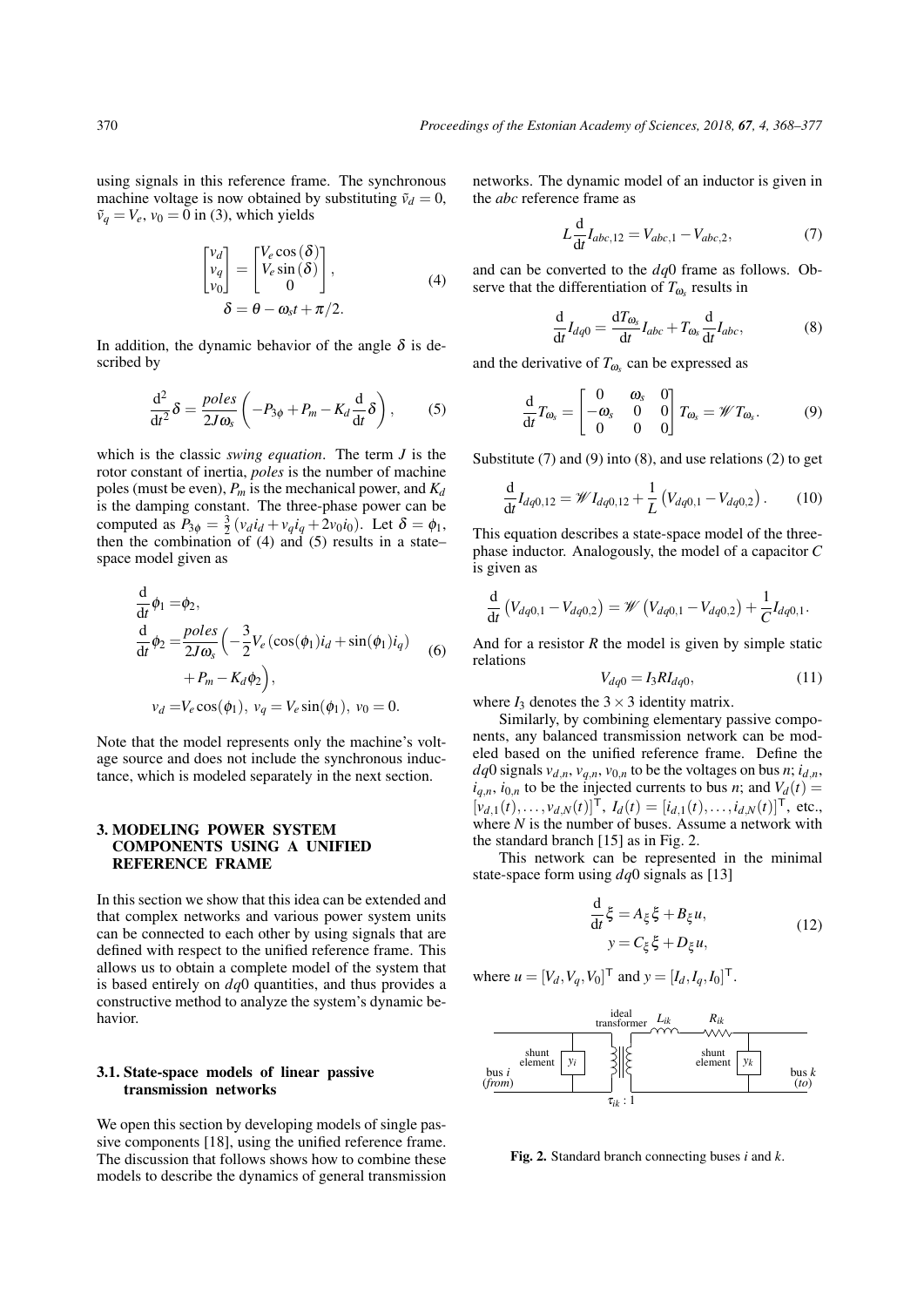using signals in this reference frame. The synchronous machine voltage is now obtained by substituting  $\tilde{v}_d = 0$ ,  $\tilde{v}_q = V_e$ ,  $v_0 = 0$  in [\(3\)](#page-1-2), which yields

<span id="page-2-0"></span>
$$
\begin{bmatrix} V_d \\ V_q \\ V_0 \end{bmatrix} = \begin{bmatrix} V_e \cos(\delta) \\ V_e \sin(\delta) \\ 0 \end{bmatrix},
$$
  
\n
$$
\delta = \theta - \omega_s t + \pi/2.
$$
 (4)

In addition, the dynamic behavior of the angle  $\delta$  is described by

<span id="page-2-1"></span>
$$
\frac{\mathrm{d}^2}{\mathrm{d}t^2}\delta = \frac{poles}{2J\omega_s} \left(-P_{3\phi} + P_m - K_d \frac{\mathrm{d}}{\mathrm{d}t}\delta\right),\tag{5}
$$

which is the classic *swing equation*. The term *J* is the rotor constant of inertia, *poles* is the number of machine poles (must be even),  $P_m$  is the mechanical power, and  $K_d$ is the damping constant. The three-phase power can be computed as  $P_{3\phi} = \frac{3}{2} (v_d i_d + v_q i_q + 2v_0 i_0)$ . Let  $\delta = \phi_1$ , then the combination of  $(4)$  and  $(5)$  results in a state– space model given as

<span id="page-2-6"></span>
$$
\frac{d}{dt}\phi_1 = \phi_2,\n\frac{d}{dt}\phi_2 = \frac{poles}{2J\omega_s} \left( -\frac{3}{2}V_e(\cos(\phi_1)i_d + \sin(\phi_1)i_q) + P_m - K_d\phi_2 \right),\n v_d = V_e \cos(\phi_1), v_q = V_e \sin(\phi_1), v_0 = 0.
$$
\n(6)

Note that the model represents only the machine's voltage source and does not include the synchronous inductance, which is modeled separately in the next section.

### 3. MODELING POWER SYSTEM COMPONENTS USING A UNIFIED REFERENCE FRAME

In this section we show that this idea can be extended and that complex networks and various power system units can be connected to each other by using signals that are defined with respect to the unified reference frame. This allows us to obtain a complete model of the system that is based entirely on *dq*0 quantities, and thus provides a constructive method to analyze the system's dynamic behavior.

### 3.1. State-space models of linear passive transmission networks

We open this section by developing models of single passive components [\[18\]](#page-8-16), using the unified reference frame. The discussion that follows shows how to combine these models to describe the dynamics of general transmission networks. The dynamic model of an inductor is given in the *abc* reference frame as

<span id="page-2-2"></span>
$$
L\frac{d}{dt}I_{abc,12} = V_{abc,1} - V_{abc,2},
$$
 (7)

and can be converted to the *dq*0 frame as follows. Observe that the differentiation of  $T_{\omega_s}$  results in

<span id="page-2-4"></span>
$$
\frac{\mathrm{d}}{\mathrm{d}t}I_{dq0} = \frac{\mathrm{d}T_{\omega_s}}{\mathrm{d}t}I_{abc} + T_{\omega_s}\frac{\mathrm{d}}{\mathrm{d}t}I_{abc},\tag{8}
$$

and the derivative of  $T_{\omega_s}$  can be expressed as

<span id="page-2-3"></span>
$$
\frac{\mathrm{d}}{\mathrm{d}t}T_{\omega_{\mathrm{s}}} = \begin{bmatrix} 0 & \omega_{\mathrm{s}} & 0 \\ -\omega_{\mathrm{s}} & 0 & 0 \\ 0 & 0 & 0 \end{bmatrix}T_{\omega_{\mathrm{s}}} = \mathscr{W}T_{\omega_{\mathrm{s}}}.\tag{9}
$$

Substitute  $(7)$  and  $(9)$  into  $(8)$ , and use relations  $(2)$  to get

$$
\frac{\mathrm{d}}{\mathrm{d}t}I_{dq0,12} = \mathscr{W}I_{dq0,12} + \frac{1}{L}\left(V_{dq0,1} - V_{dq0,2}\right). \tag{10}
$$

This equation describes a state-space model of the threephase inductor. Analogously, the model of a capacitor *C* is given as

$$
\frac{\mathrm{d}}{\mathrm{d}t}\left(V_{dq0,1}-V_{dq0,2}\right)=\mathscr{W}\left(V_{dq0,1}-V_{dq0,2}\right)+\frac{1}{C}I_{dq0,1}.
$$

And for a resistor *R* the model is given by simple static relations

$$
V_{dq0} = I_3 R I_{dq0}, \t(11)
$$

where  $I_3$  denotes the  $3 \times 3$  identity matrix.

Similarly, by combining elementary passive components, any balanced transmission network can be modeled based on the unified reference frame. Define the *dq*0 signals  $v_{d,n}$ ,  $v_{q,n}$ ,  $v_{0,n}$  to be the voltages on bus *n*;  $i_{d,n}$ ,  $i_{q,n}$ ,  $i_{0,n}$  to be the injected currents to bus *n*; and  $V_d(t)$  =  $[v_{d,1}(t),...,v_{d,N}(t)]^{\mathsf{T}},$   $I_d(t) = [i_{d,1}(t),...,i_{d,N}(t)]^{\mathsf{T}},$  etc., where  $N$  is the number of buses. Assume a network with the standard branch [\[15\]](#page-8-13) as in Fig. [2.](#page-2-5)

This network can be represented in the minimal state-space form using *dq*0 signals as [\[13\]](#page-8-11)

$$
\frac{\mathrm{d}}{\mathrm{d}t}\xi = A_{\xi}\xi + B_{\xi}u,\tag{12}
$$
\n
$$
y = C_{\xi}\xi + D_{\xi}u,
$$

where  $u = [V_d, V_q, V_0]^T$  and  $y = [I_d, I_q, I_0]^T$ .



<span id="page-2-5"></span>Fig. 2. Standard branch connecting buses *i* and *k*.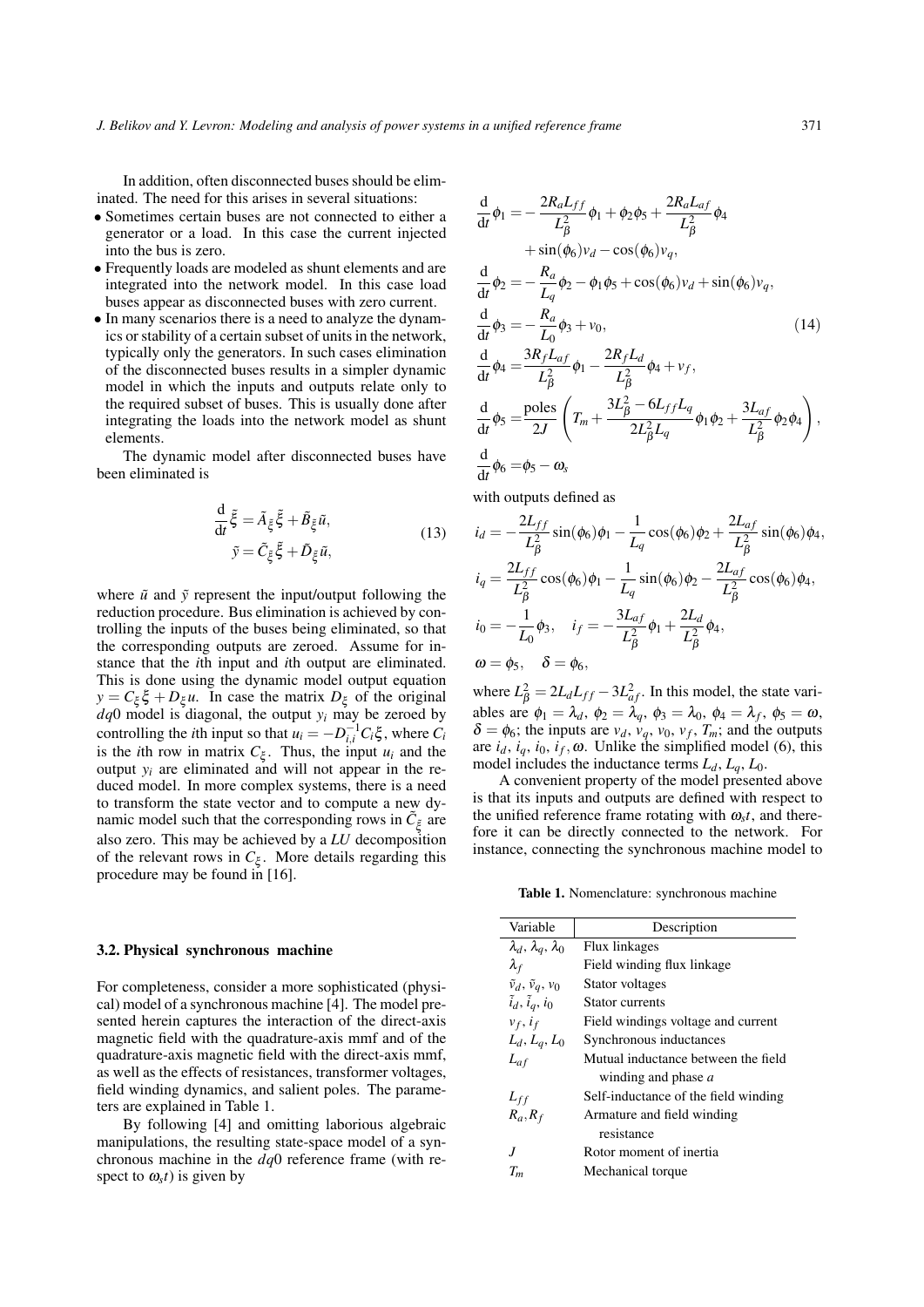In addition, often disconnected buses should be eliminated. The need for this arises in several situations:

- Sometimes certain buses are not connected to either a generator or a load. In this case the current injected into the bus is zero.
- Frequently loads are modeled as shunt elements and are integrated into the network model. In this case load buses appear as disconnected buses with zero current.
- In many scenarios there is a need to analyze the dynamics or stability of a certain subset of units in the network, typically only the generators. In such cases elimination of the disconnected buses results in a simpler dynamic model in which the inputs and outputs relate only to the required subset of buses. This is usually done after integrating the loads into the network model as shunt elements.

The dynamic model after disconnected buses have been eliminated is

$$
\frac{\mathrm{d}}{\mathrm{d}t}\tilde{\xi} = \tilde{A}_{\xi}\tilde{\xi} + \tilde{B}_{\xi}\tilde{u}, \n\tilde{y} = \tilde{C}_{\xi}\tilde{\xi} + \tilde{D}_{\xi}\tilde{u},
$$
\n(13)

where  $\tilde{u}$  and  $\tilde{y}$  represent the input/output following the reduction procedure. Bus elimination is achieved by controlling the inputs of the buses being eliminated, so that the corresponding outputs are zeroed. Assume for instance that the *i*th input and *i*th output are eliminated. This is done using the dynamic model output equation  $y = C_{\xi} \xi + D_{\xi} u$ . In case the matrix  $D_{\xi}$  of the original  $dq$ <sup>0</sup> model is diagonal, the output  $y_i$  may be zeroed by controlling the *i*th input so that  $u_i = -D_{i,i}^{-1}C_i\xi$ , where  $C_i$ is the *i*th row in matrix  $C_{\xi}$ . Thus, the input  $u_i$  and the output  $y_i$  are eliminated and will not appear in the reduced model. In more complex systems, there is a need to transform the state vector and to compute a new dynamic model such that the corresponding rows in  $\tilde{C}_{\xi}$  are also zero. This may be achieved by a *LU* decomposition of the relevant rows in  $C_{\xi}$ . More details regarding this procedure may be found in [\[16\]](#page-8-14).

#### <span id="page-3-1"></span>3.2. Physical synchronous machine

For completeness, consider a more sophisticated (physical) model of a synchronous machine [\[4\]](#page-8-3). The model presented herein captures the interaction of the direct-axis magnetic field with the quadrature-axis mmf and of the quadrature-axis magnetic field with the direct-axis mmf, as well as the effects of resistances, transformer voltages, field winding dynamics, and salient poles. The parameters are explained in Table [1.](#page-3-0)

By following [\[4\]](#page-8-3) and omitting laborious algebraic manipulations, the resulting state-space model of a synchronous machine in the *dq*0 reference frame (with respect to  $\omega_s t$ ) is given by

$$
\frac{d}{dt}\phi_1 = -\frac{2R_aL_{ff}}{L_{\beta}^2}\phi_1 + \phi_2\phi_5 + \frac{2R_aL_{af}}{L_{\beta}^2}\phi_4 \n+ sin(\phi_6)v_d - cos(\phi_6)v_q, \n\frac{d}{dt}\phi_2 = -\frac{R_a}{L_q}\phi_2 - \phi_1\phi_5 + cos(\phi_6)v_d + sin(\phi_6)v_q, \n\frac{d}{dt}\phi_3 = -\frac{R_a}{L_0}\phi_3 + v_0, \n\frac{d}{dt}\phi_4 = \frac{3R_fL_{af}}{L_{\beta}^2}\phi_1 - \frac{2R_fL_d}{L_{\beta}^2}\phi_4 + v_f, \n\frac{d}{dt}\phi_5 = \frac{\text{poles}}{2J}\left(T_m + \frac{3L_{\beta}^2 - 6L_{ff}L_q}{2L_{\beta}^2L_q}\phi_1\phi_2 + \frac{3L_{af}}{L_{\beta}^2}\phi_2\phi_4\right), \n\frac{d}{dt}\phi_6 = \phi_5 - \omega_s
$$
\n(14)

with outputs defined as

$$
i_d = -\frac{2L_{ff}}{L_{\beta}^2} \sin(\phi_6)\phi_1 - \frac{1}{L_q} \cos(\phi_6)\phi_2 + \frac{2L_{af}}{L_{\beta}^2} \sin(\phi_6)\phi_4,
$$
  
\n
$$
i_q = \frac{2L_{ff}}{L_{\beta}^2} \cos(\phi_6)\phi_1 - \frac{1}{L_q} \sin(\phi_6)\phi_2 - \frac{2L_{af}}{L_{\beta}^2} \cos(\phi_6)\phi_4,
$$
  
\n
$$
i_0 = -\frac{1}{L_0}\phi_3, \quad i_f = -\frac{3L_{af}}{L_{\beta}^2}\phi_1 + \frac{2L_d}{L_{\beta}^2}\phi_4,
$$
  
\n
$$
\omega = \phi_5, \quad \delta = \phi_6,
$$

where  $L^2 = 2L_d L_{ff} - 3L^2_{af}$ . In this model, the state variables are  $\phi_1 = \lambda_d$ ,  $\phi_2 = \lambda_q$ ,  $\phi_3 = \lambda_0$ ,  $\phi_4 = \lambda_f$ ,  $\phi_5 = \omega$ ,  $\delta = \phi_6$ ; the inputs are  $v_d$ ,  $v_q$ ,  $v_0$ ,  $v_f$ ,  $T_m$ ; and the outputs are  $i_d$ ,  $i_q$ ,  $i_0$ ,  $i_f$ ,  $\omega$ . Unlike the simplified model [\(6\)](#page-2-6), this model includes the inductance terms  $L_d$ ,  $L_q$ ,  $L_0$ .

A convenient property of the model presented above is that its inputs and outputs are defined with respect to the unified reference frame rotating with  $\omega_s t$ , and therefore it can be directly connected to the network. For instance, connecting the synchronous machine model to

Table 1. Nomenclature: synchronous machine

<span id="page-3-0"></span>

| Description                          |
|--------------------------------------|
| Flux linkages                        |
| Field winding flux linkage           |
| Stator voltages                      |
| Stator currents                      |
| Field windings voltage and current   |
| Synchronous inductances              |
| Mutual inductance between the field  |
| winding and phase a                  |
| Self-inductance of the field winding |
| Armature and field winding           |
| resistance                           |
| Rotor moment of inertia              |
| Mechanical torque                    |
|                                      |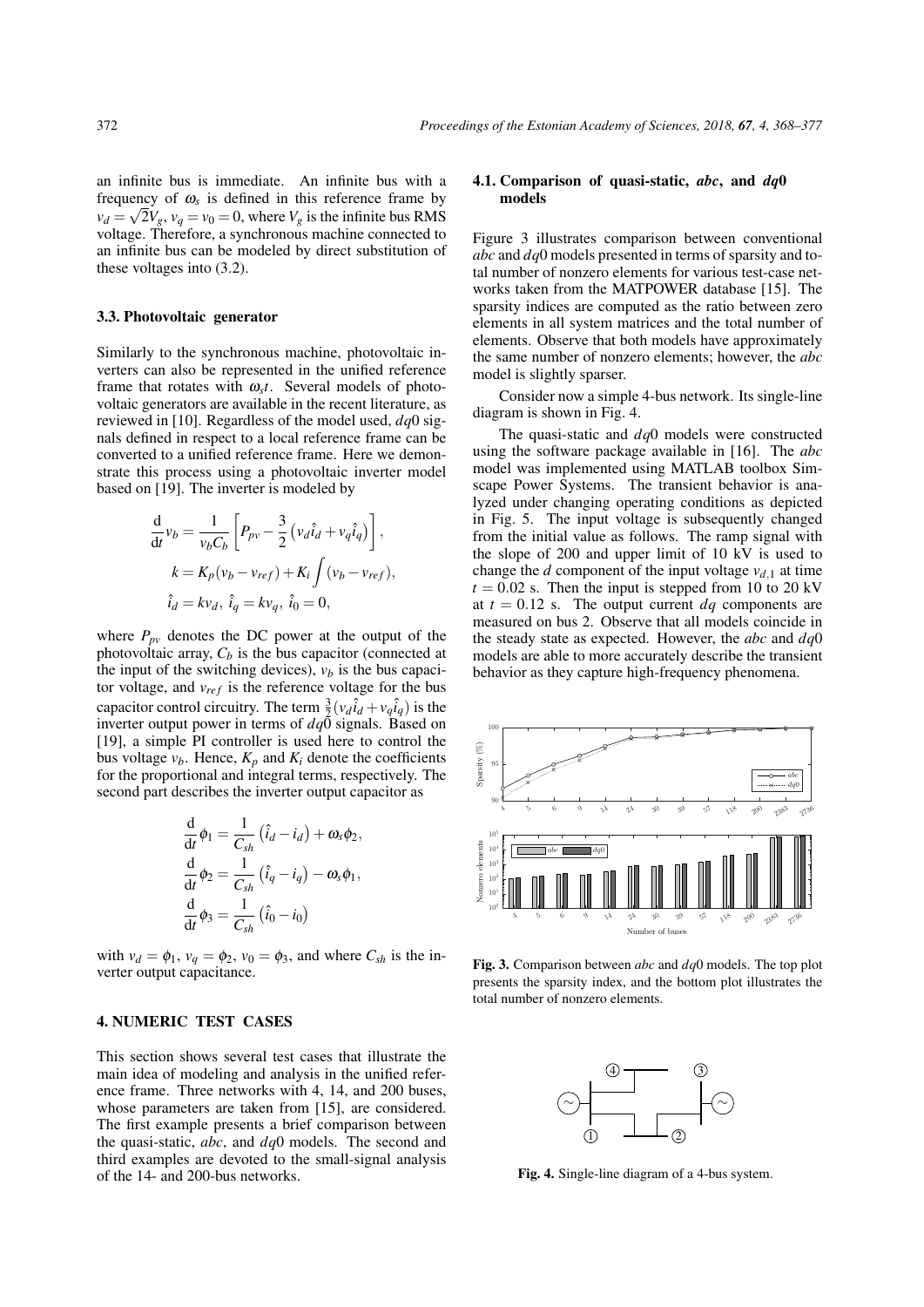an infinite bus is immediate. An infinite bus with a frequency of  $\omega_s$  is defined in this reference frame by  $v_d = \sqrt{2}V_g$ ,  $v_q = v_0 = 0$ , where  $V_g$  is the infinite bus RMS voltage. Therefore, a synchronous machine connected to an infinite bus can be modeled by direct substitution of these voltages into [\(3.2\)](#page-3-1).

#### 3.3. Photovoltaic generator

Similarly to the synchronous machine, photovoltaic inverters can also be represented in the unified reference frame that rotates with  $\omega_s t$ . Several models of photovoltaic generators are available in the recent literature, as reviewed in [\[10\]](#page-8-8). Regardless of the model used, *dq*0 signals defined in respect to a local reference frame can be converted to a unified reference frame. Here we demonstrate this process using a photovoltaic inverter model based on [\[19\]](#page-8-17). The inverter is modeled by

$$
\frac{\mathrm{d}}{\mathrm{d}t}v_b = \frac{1}{v_b C_b} \left[ P_{pv} - \frac{3}{2} \left( v_d \hat{i}_d + v_q \hat{i}_q \right) \right],
$$
  
\n
$$
k = K_p (v_b - v_{ref}) + K_i \int (v_b - v_{ref}),
$$
  
\n
$$
\hat{i}_d = k v_d, \ \hat{i}_q = k v_q, \ \hat{i}_0 = 0,
$$

where  $P_{pv}$  denotes the DC power at the output of the photovoltaic array,  $C_b$  is the bus capacitor (connected at the input of the switching devices),  $v_b$  is the bus capacitor voltage, and  $v_{ref}$  is the reference voltage for the bus capacitor control circuitry. The term  $\frac{3}{2}(v_d \hat{i}_d + v_q \hat{i}_q)$  is the inverter output power in terms of  $dq\ddot{0}$  signals. Based on [\[19\]](#page-8-17), a simple PI controller is used here to control the bus voltage  $v_b$ . Hence,  $K_p$  and  $K_i$  denote the coefficients for the proportional and integral terms, respectively. The second part describes the inverter output capacitor as

$$
\frac{\mathrm{d}}{\mathrm{d}t}\phi_1 = \frac{1}{C_{sh}}\left(\hat{i}_d - i_d\right) + \omega_s \phi_2,
$$
\n
$$
\frac{\mathrm{d}}{\mathrm{d}t}\phi_2 = \frac{1}{C_{sh}}\left(\hat{i}_q - i_q\right) - \omega_s \phi_1,
$$
\n
$$
\frac{\mathrm{d}}{\mathrm{d}t}\phi_3 = \frac{1}{C_{sh}}\left(\hat{i}_0 - i_0\right)
$$

with  $v_d = \phi_1$ ,  $v_q = \phi_2$ ,  $v_0 = \phi_3$ , and where  $C_{sh}$  is the inverter output capacitance.

#### 4. NUMERIC TEST CASES

This section shows several test cases that illustrate the main idea of modeling and analysis in the unified reference frame. Three networks with 4, 14, and 200 buses, whose parameters are taken from [\[15\]](#page-8-13), are considered. The first example presents a brief comparison between the quasi-static, *abc*, and *dq*0 models. The second and third examples are devoted to the small-signal analysis of the 14- and 200-bus networks.

#### 4.1. Comparison of quasi-static, *abc*, and *dq*0 models

Figure [3](#page-4-0) illustrates comparison between conventional *abc* and *dq*0 models presented in terms of sparsity and total number of nonzero elements for various test-case networks taken from the MATPOWER database [\[15\]](#page-8-13). The sparsity indices are computed as the ratio between zero elements in all system matrices and the total number of elements. Observe that both models have approximately the same number of nonzero elements; however, the *abc* model is slightly sparser.

Consider now a simple 4-bus network. Its single-line diagram is shown in Fig. [4.](#page-4-1)

The quasi-static and *dq*0 models were constructed using the software package available in [\[16\]](#page-8-14). The *abc* model was implemented using MATLAB toolbox Simscape Power Systems. The transient behavior is analyzed under changing operating conditions as depicted in Fig. [5.](#page-5-0) The input voltage is subsequently changed from the initial value as follows. The ramp signal with the slope of 200 and upper limit of 10 kV is used to change the *d* component of the input voltage  $v_{d,1}$  at time  $t = 0.02$  s. Then the input is stepped from 10 to 20 kV at  $t = 0.12$  s. The output current  $dq$  components are measured on bus 2. Observe that all models coincide in the steady state as expected. However, the *abc* and *dq*0 models are able to more accurately describe the transient behavior as they capture high-frequency phenomena.



Fig. 3. Comparison between *abc* and *dq*0 models. The top plot presents the sparsity index, and the bottom plot illustrates the total number of nonzero elements.

<span id="page-4-1"></span><span id="page-4-0"></span>

Fig. 4. Single-line diagram of a 4-bus system.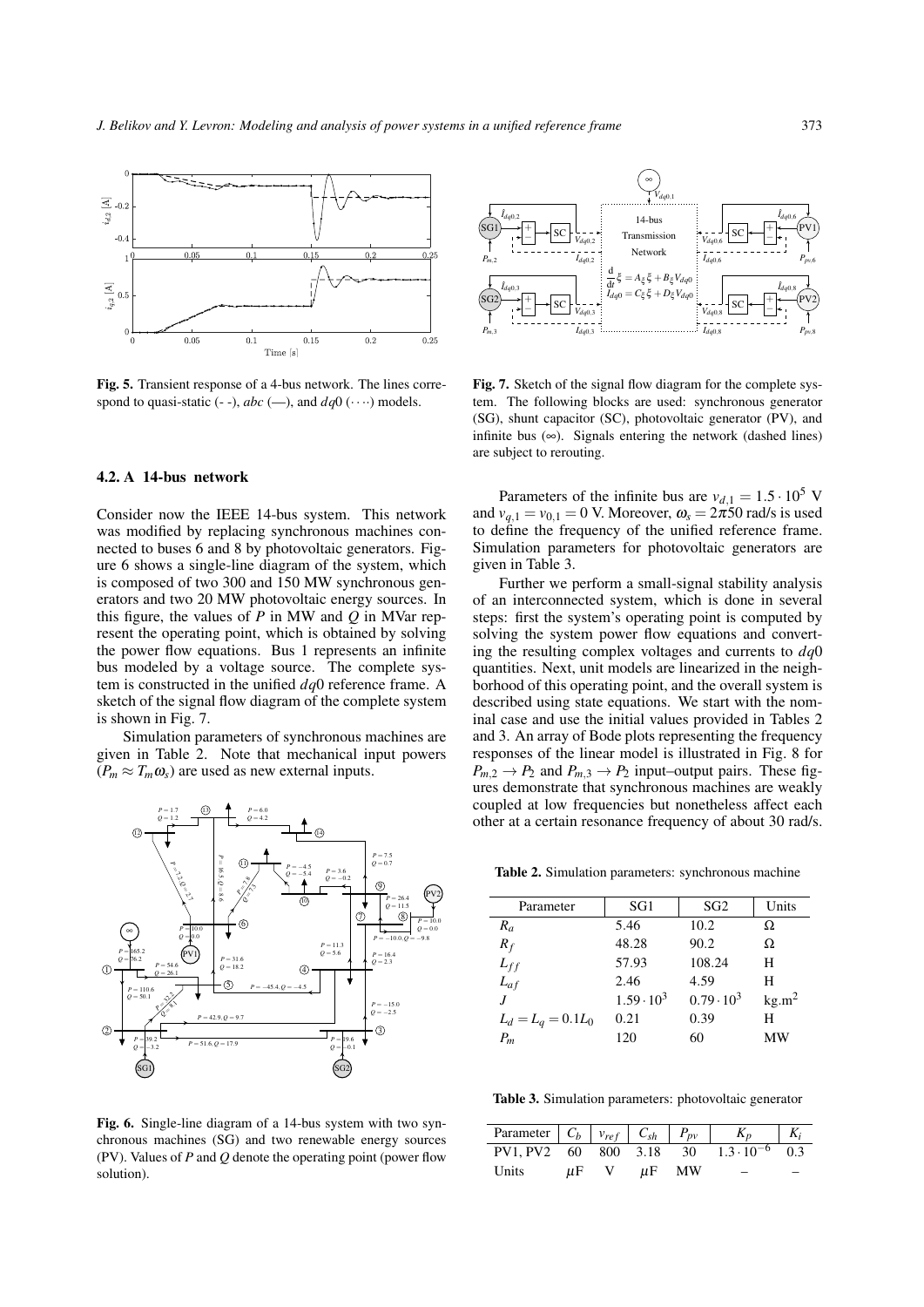

Fig. 5. Transient response of a 4-bus network. The lines correspond to quasi-static (- -),  $abc$  (--), and  $dq0$  ( $\cdots$ ) models.

#### 4.2. A 14-bus network

Consider now the IEEE 14-bus system. This network was modified by replacing synchronous machines connected to buses 6 and 8 by photovoltaic generators. Figure [6](#page-5-1) shows a single-line diagram of the system, which is composed of two 300 and 150 MW synchronous generators and two 20 MW photovoltaic energy sources. In this figure, the values of *P* in MW and *Q* in MVar represent the operating point, which is obtained by solving the power flow equations. Bus 1 represents an infinite bus modeled by a voltage source. The complete system is constructed in the unified *dq*0 reference frame. A sketch of the signal flow diagram of the complete system is shown in Fig. [7.](#page-5-2)

Simulation parameters of synchronous machines are given in Table [2.](#page-5-3) Note that mechanical input powers  $(P_m \approx T_m \omega_s)$  are used as new external inputs.



<span id="page-5-1"></span>Fig. 6. Single-line diagram of a 14-bus system with two synchronous machines (SG) and two renewable energy sources (PV). Values of *P* and *Q* denote the operating point (power flow solution).



<span id="page-5-2"></span><span id="page-5-0"></span>Fig. 7. Sketch of the signal flow diagram for the complete system. The following blocks are used: synchronous generator (SG), shunt capacitor (SC), photovoltaic generator (PV), and infinite bus  $(\infty)$ . Signals entering the network (dashed lines) are subject to rerouting.

Parameters of the infinite bus are  $v_{d,1} = 1.5 \cdot 10^5$  V and  $v_{q,1} = v_{0,1} = 0$  V. Moreover,  $\omega_s = 2\pi 50$  rad/s is used to define the frequency of the unified reference frame. Simulation parameters for photovoltaic generators are given in Table [3.](#page-5-4)

Further we perform a small-signal stability analysis of an interconnected system, which is done in several steps: first the system's operating point is computed by solving the system power flow equations and converting the resulting complex voltages and currents to *dq*0 quantities. Next, unit models are linearized in the neighborhood of this operating point, and the overall system is described using state equations. We start with the nominal case and use the initial values provided in Tables [2](#page-5-3) and [3.](#page-5-4) An array of Bode plots representing the frequency responses of the linear model is illustrated in Fig. [8](#page-6-0) for  $P_{m,2} \rightarrow P_2$  and  $P_{m,3} \rightarrow P_2$  input–output pairs. These figures demonstrate that synchronous machines are weakly coupled at low frequencies but nonetheless affect each other at a certain resonance frequency of about 30 rad/s.

<span id="page-5-3"></span>Table 2. Simulation parameters: synchronous machine

| Parameter            | SG1               | SG <sub>2</sub>   | Units             |
|----------------------|-------------------|-------------------|-------------------|
| $R_a$                | 5.46              | 10.2              | Ω                 |
| $R_f$                | 48.28             | 90.2              | Ω                 |
| $L_{ff}$             | 57.93             | 108.24            | H                 |
| $L_{af}$             | 2.46              | 4.59              | H                 |
|                      | $1.59 \cdot 10^3$ | $0.79 \cdot 10^3$ | kg.m <sup>2</sup> |
| $L_d = L_q = 0.1L_0$ | 0.21              | 0.39              | н                 |
| $P_m$                | 120               | 60                | МW                |
|                      |                   |                   |                   |

<span id="page-5-4"></span>Table 3. Simulation parameters: photovoltaic generator

| PV1. PV2 60 800 3.18 30 |    |    |    | $1.3 \cdot 10^{-6}$ | 0.3 |
|-------------------------|----|----|----|---------------------|-----|
| Units                   | иF | пF | МW |                     |     |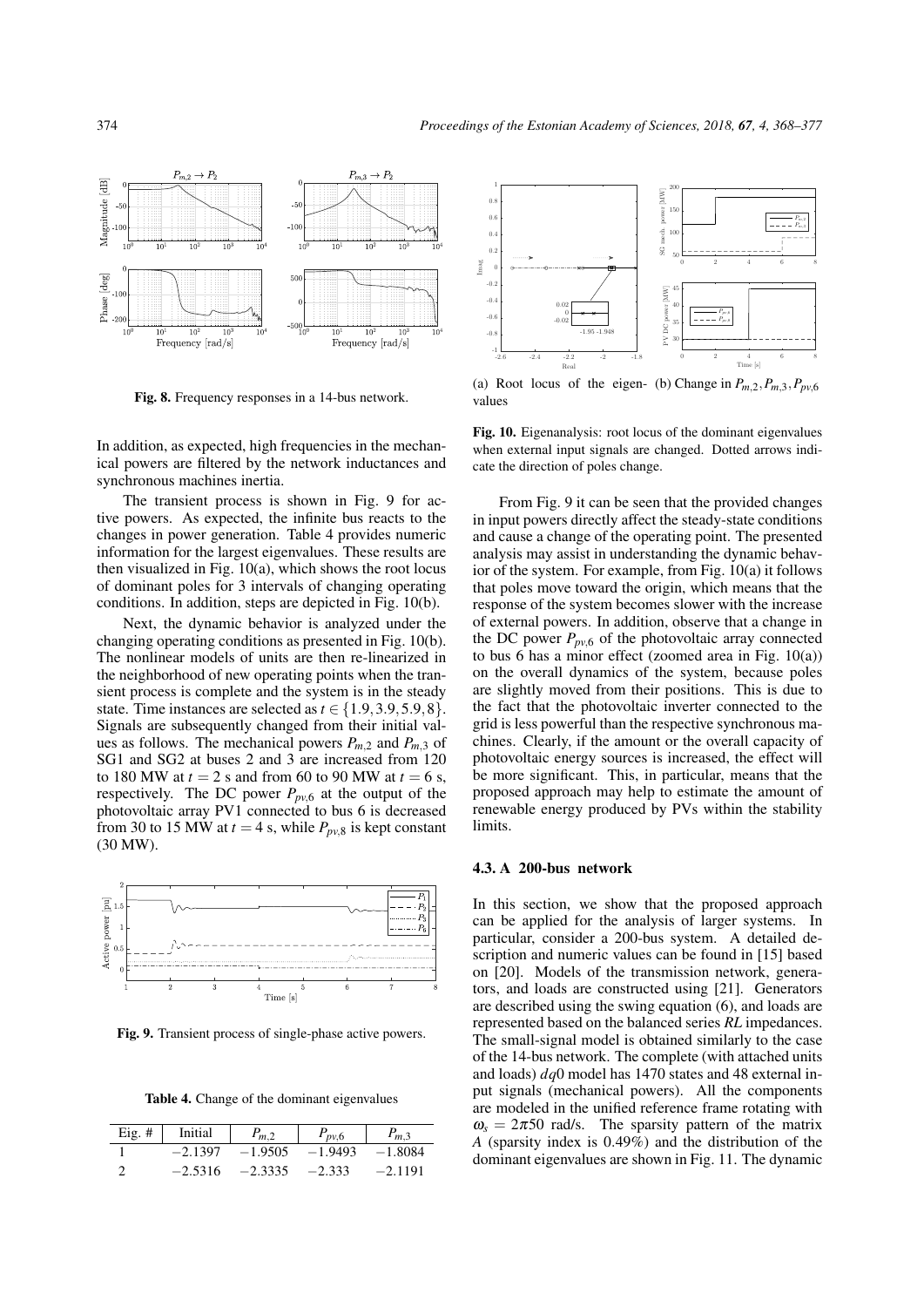

<span id="page-6-0"></span>Fig. 8. Frequency responses in a 14-bus network.

In addition, as expected, high frequencies in the mechanical powers are filtered by the network inductances and synchronous machines inertia.

The transient process is shown in Fig. [9](#page-6-1) for active powers. As expected, the infinite bus reacts to the changes in power generation. Table [4](#page-6-2) provides numeric information for the largest eigenvalues. These results are then visualized in Fig. [10\(a\),](#page-6-3) which shows the root locus of dominant poles for 3 intervals of changing operating conditions. In addition, steps are depicted in Fig. [10\(b\).](#page-6-4)

Next, the dynamic behavior is analyzed under the changing operating conditions as presented in Fig. [10\(b\).](#page-6-4) The nonlinear models of units are then re-linearized in the neighborhood of new operating points when the transient process is complete and the system is in the steady state. Time instances are selected as  $t \in \{1.9, 3.9, 5.9, 8\}.$ Signals are subsequently changed from their initial values as follows. The mechanical powers  $P_{m,2}$  and  $P_{m,3}$  of SG1 and SG2 at buses 2 and 3 are increased from 120 to 180 MW at  $t = 2$  s and from 60 to 90 MW at  $t = 6$  s, respectively. The DC power  $P_{pv,6}$  at the output of the photovoltaic array PV1 connected to bus 6 is decreased from 30 to 15 MW at  $t = 4$  s, while  $P_{pv,8}$  is kept constant (30 MW).



Fig. 9. Transient process of single-phase active powers.

Table 4. Change of the dominant eigenvalues

<span id="page-6-2"></span>

| $Eig. \#$ | Initial   | $P_{m,2}$ | $P_{pv,6}$ | $P_{m,3}$ |
|-----------|-----------|-----------|------------|-----------|
|           | $-2.1397$ | $-1.9505$ | $-1.9493$  | $-1.8084$ |
| ◠         | $-2.5316$ | $-2.3335$ | $-2.333$   | $-2.1191$ |

<span id="page-6-3"></span>1 200 SG mech. power [MW] 0.8 conter 150  $\overline{0}$ .  $P_{m,2}$  $P_{m,3}$ ed.  $\overline{0}$ . 100  $0.2$ ġ 50 Imag 0 2 4 6 8  $\boldsymbol{0}$ -0.2 45 PV DC power [MW] -0.4 0.02 40  $P_{pe,6}$  $-0.6$  $\boldsymbol{0}$  $P_{pe,8}$ -0.02 35  $-0.8$ -1.95 -1.948 30 -1  $-2.2$ 0 2 4 6 8  $-2.6$   $-2.4$   $-2.2$   $-2$   $-1.8$ Time [s]

<span id="page-6-4"></span>(a) Root locus of the eigen- (b) Change in  $P_{m,2}, P_{m,3}, P_{pv,6}$ values

Fig. 10. Eigenanalysis: root locus of the dominant eigenvalues when external input signals are changed. Dotted arrows indicate the direction of poles change.

From Fig. [9](#page-6-1) it can be seen that the provided changes in input powers directly affect the steady-state conditions and cause a change of the operating point. The presented analysis may assist in understanding the dynamic behavior of the system. For example, from Fig. [10\(a\)](#page-6-3) it follows that poles move toward the origin, which means that the response of the system becomes slower with the increase of external powers. In addition, observe that a change in the DC power  $P_{pv,6}$  of the photovoltaic array connected to bus 6 has a minor effect (zoomed area in Fig. [10\(a\)\)](#page-6-3) on the overall dynamics of the system, because poles are slightly moved from their positions. This is due to the fact that the photovoltaic inverter connected to the grid is less powerful than the respective synchronous machines. Clearly, if the amount or the overall capacity of photovoltaic energy sources is increased, the effect will be more significant. This, in particular, means that the proposed approach may help to estimate the amount of renewable energy produced by PVs within the stability limits.

#### 4.3. A 200-bus network

<span id="page-6-1"></span>In this section, we show that the proposed approach can be applied for the analysis of larger systems. In particular, consider a 200-bus system. A detailed description and numeric values can be found in [\[15\]](#page-8-13) based on [\[20\]](#page-8-18). Models of the transmission network, generators, and loads are constructed using [\[21\]](#page-8-19). Generators are described using the swing equation [\(6\)](#page-2-6), and loads are represented based on the balanced series *RL* impedances. The small-signal model is obtained similarly to the case of the 14-bus network. The complete (with attached units and loads) *dq*0 model has 1470 states and 48 external input signals (mechanical powers). All the components are modeled in the unified reference frame rotating with  $\omega_s = 2\pi 50$  rad/s. The sparsity pattern of the matrix *A* (sparsity index is 0.49%) and the distribution of the dominant eigenvalues are shown in Fig. [11.](#page-7-0) The dynamic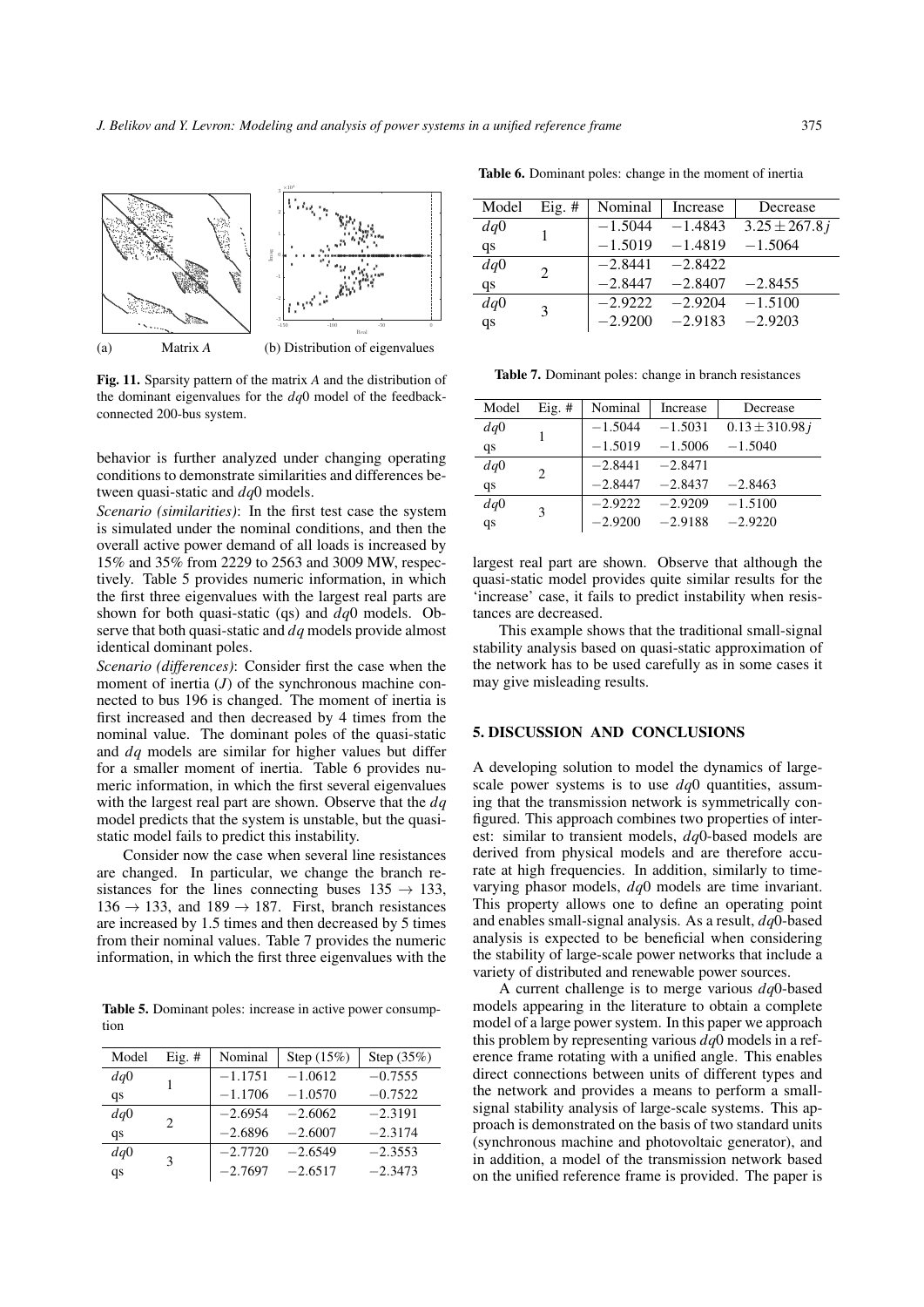

Fig. 11. Sparsity pattern of the matrix *A* and the distribution of the dominant eigenvalues for the *dq*0 model of the feedbackconnected 200-bus system.

behavior is further analyzed under changing operating conditions to demonstrate similarities and differences between quasi-static and *dq*0 models.

*Scenario (similarities)*: In the first test case the system is simulated under the nominal conditions, and then the overall active power demand of all loads is increased by 15% and 35% from 2229 to 2563 and 3009 MW, respectively. Table [5](#page-7-1) provides numeric information, in which the first three eigenvalues with the largest real parts are shown for both quasi-static (qs) and *dq*0 models. Observe that both quasi-static and *dq* models provide almost identical dominant poles.

*Scenario (differences)*: Consider first the case when the moment of inertia (*J*) of the synchronous machine connected to bus 196 is changed. The moment of inertia is first increased and then decreased by 4 times from the nominal value. The dominant poles of the quasi-static and *dq* models are similar for higher values but differ for a smaller moment of inertia. Table [6](#page-7-2) provides numeric information, in which the first several eigenvalues with the largest real part are shown. Observe that the *dq* model predicts that the system is unstable, but the quasistatic model fails to predict this instability.

Consider now the case when several line resistances are changed. In particular, we change the branch resistances for the lines connecting buses  $135 \rightarrow 133$ ,  $136 \rightarrow 133$ , and  $189 \rightarrow 187$ . First, branch resistances are increased by 1.5 times and then decreased by 5 times from their nominal values. Table [7](#page-7-3) provides the numeric information, in which the first three eigenvalues with the

<span id="page-7-1"></span>Table 5. Dominant poles: increase in active power consumption

| Model | $Eig. \#$ | Nominal   | Step $(15%)$ | Step (35%) |
|-------|-----------|-----------|--------------|------------|
| dq0   |           | $-1.1751$ | $-1.0612$    | $-0.7555$  |
| qs    |           | $-1.1706$ | $-1.0570$    | $-0.7522$  |
| dq0   | 2         | $-2.6954$ | $-2.6062$    | $-2.3191$  |
| qs    |           | $-2.6896$ | $-2.6007$    | $-2.3174$  |
| dq0   | 3         | $-2.7720$ | $-2.6549$    | $-2.3553$  |
| qs    |           | $-2.7697$ | $-2.6517$    | $-2.3473$  |

<span id="page-7-2"></span>Table 6. Dominant poles: change in the moment of inertia

| Model | Eig. $#$ | Nominal   | Increase  | Decrease          |
|-------|----------|-----------|-----------|-------------------|
| dq0   |          | $-1.5044$ | $-1.4843$ | $3.25 \pm 267.8j$ |
| qs    |          | $-1.5019$ | $-1.4819$ | $-1.5064$         |
| dq0   | 2        | $-2.8441$ | $-2.8422$ |                   |
| qs    |          | $-2.8447$ | $-2.8407$ | $-2.8455$         |
| dq0   | 3        | $-2.9222$ | $-2.9204$ | $-1.5100$         |
| qs    |          | $-2.9200$ | $-2.9183$ | $-2.9203$         |

<span id="page-7-3"></span><span id="page-7-0"></span>Table 7. Dominant poles: change in branch resistances

| Model | $Eig. \#$ | Nominal   | Increase  | Decrease            |
|-------|-----------|-----------|-----------|---------------------|
| dq0   |           | $-1.5044$ | $-1.5031$ | $0.13 \pm 310.98 i$ |
| qs    |           | $-1.5019$ | $-1.5006$ | $-1.5040$           |
| dq0   | 2         | $-2.8441$ | $-2.8471$ |                     |
| qs    |           | $-2.8447$ | $-2.8437$ | $-2.8463$           |
| dq0   | 3         | $-2.9222$ | $-2.9209$ | $-1.5100$           |
| qs    |           | $-2.9200$ | $-2.9188$ | $-2.9220$           |

largest real part are shown. Observe that although the quasi-static model provides quite similar results for the 'increase' case, it fails to predict instability when resistances are decreased.

This example shows that the traditional small-signal stability analysis based on quasi-static approximation of the network has to be used carefully as in some cases it may give misleading results.

#### 5. DISCUSSION AND CONCLUSIONS

A developing solution to model the dynamics of largescale power systems is to use *dq*0 quantities, assuming that the transmission network is symmetrically configured. This approach combines two properties of interest: similar to transient models, *dq*0-based models are derived from physical models and are therefore accurate at high frequencies. In addition, similarly to timevarying phasor models, *dq*0 models are time invariant. This property allows one to define an operating point and enables small-signal analysis. As a result, *dq*0-based analysis is expected to be beneficial when considering the stability of large-scale power networks that include a variety of distributed and renewable power sources.

A current challenge is to merge various *dq*0-based models appearing in the literature to obtain a complete model of a large power system. In this paper we approach this problem by representing various *dq*0 models in a reference frame rotating with a unified angle. This enables direct connections between units of different types and the network and provides a means to perform a smallsignal stability analysis of large-scale systems. This approach is demonstrated on the basis of two standard units (synchronous machine and photovoltaic generator), and in addition, a model of the transmission network based on the unified reference frame is provided. The paper is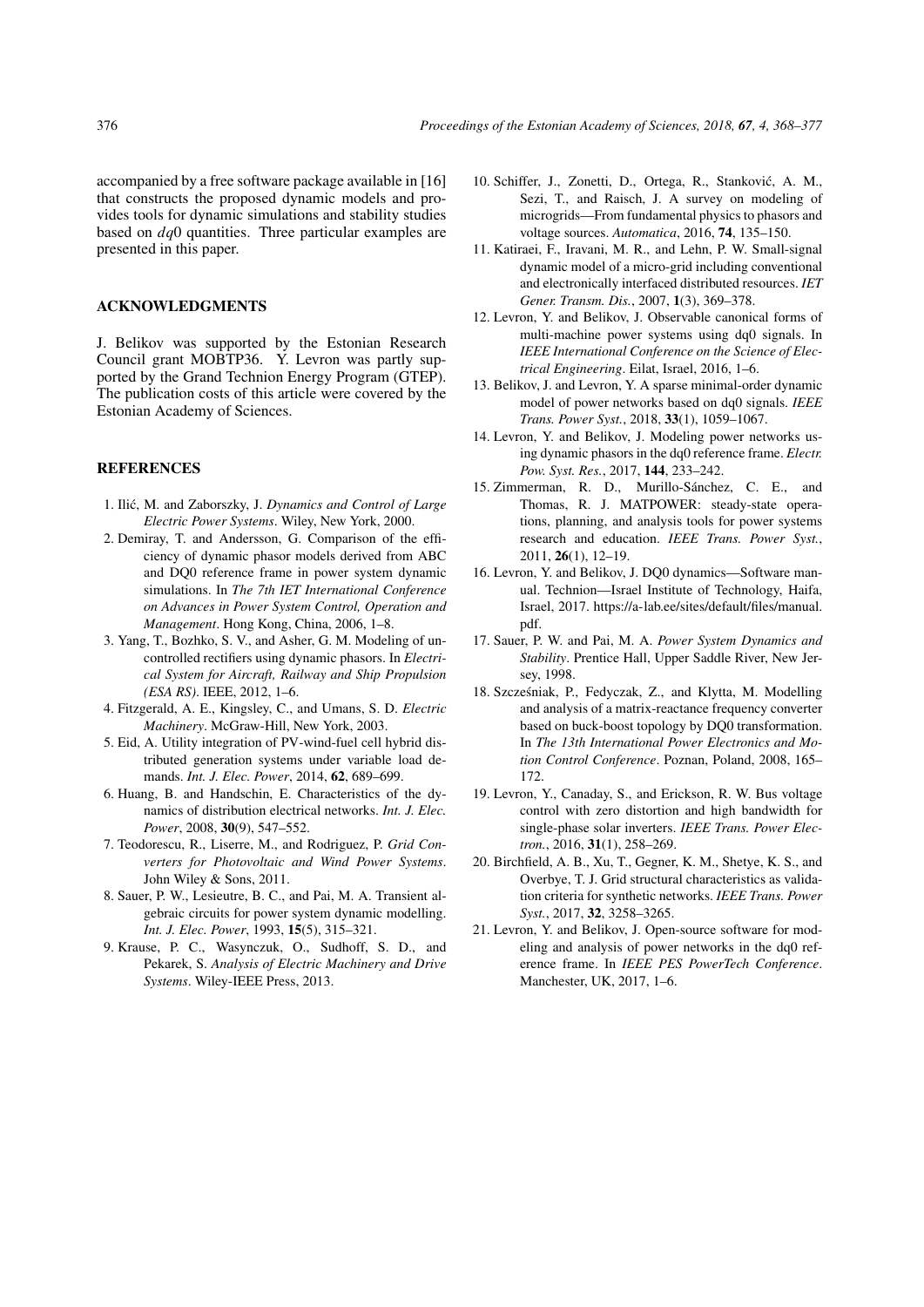accompanied by a free software package available in [\[16\]](#page-8-14) that constructs the proposed dynamic models and provides tools for dynamic simulations and stability studies based on *dq*0 quantities. Three particular examples are presented in this paper.

### ACKNOWLEDGMENTS

J. Belikov was supported by the Estonian Research Council grant MOBTP36. Y. Levron was partly supported by the Grand Technion Energy Program (GTEP). The publication costs of this article were covered by the Estonian Academy of Sciences.

# **REFERENCES**

- <span id="page-8-0"></span>1. Ilić, M. and Zaborszky, J. Dynamics and Control of Large *Electric Power Systems*. Wiley, New York, 2000.
- <span id="page-8-1"></span>2. Demiray, T. and Andersson, G. Comparison of the efficiency of dynamic phasor models derived from ABC and DQ0 reference frame in power system dynamic simulations. In *The 7th IET International Conference on Advances in Power System Control, Operation and Management*. Hong Kong, China, 2006, 1–8.
- <span id="page-8-2"></span>3. Yang, T., Bozhko, S. V., and Asher, G. M. Modeling of uncontrolled rectifiers using dynamic phasors. In *Electrical System for Aircraft, Railway and Ship Propulsion (ESA RS)*. IEEE, 2012, 1–6.
- <span id="page-8-3"></span>4. Fitzgerald, A. E., Kingsley, C., and Umans, S. D. *Electric Machinery*. McGraw-Hill, New York, 2003.
- <span id="page-8-4"></span>5. Eid, A. Utility integration of PV-wind-fuel cell hybrid distributed generation systems under variable load demands. *Int. J. Elec. Power*, 2014, 62, 689–699.
- 6. Huang, B. and Handschin, E. Characteristics of the dynamics of distribution electrical networks. *Int. J. Elec. Power*, 2008, 30(9), 547–552.
- <span id="page-8-5"></span>7. Teodorescu, R., Liserre, M., and Rodriguez, P. *Grid Converters for Photovoltaic and Wind Power Systems*. John Wiley & Sons, 2011.
- <span id="page-8-6"></span>8. Sauer, P. W., Lesieutre, B. C., and Pai, M. A. Transient algebraic circuits for power system dynamic modelling. *Int. J. Elec. Power*, 1993, 15(5), 315–321.
- <span id="page-8-7"></span>9. Krause, P. C., Wasynczuk, O., Sudhoff, S. D., and Pekarek, S. *Analysis of Electric Machinery and Drive Systems*. Wiley-IEEE Press, 2013.
- <span id="page-8-8"></span>10. Schiffer, J., Zonetti, D., Ortega, R., Stankovic, A. M., ´ Sezi, T., and Raisch, J. A survey on modeling of microgrids—From fundamental physics to phasors and voltage sources. *Automatica*, 2016, 74, 135–150.
- <span id="page-8-9"></span>11. Katiraei, F., Iravani, M. R., and Lehn, P. W. Small-signal dynamic model of a micro-grid including conventional and electronically interfaced distributed resources. *IET Gener. Transm. Dis.*, 2007, 1(3), 369–378.
- <span id="page-8-10"></span>12. Levron, Y. and Belikov, J. Observable canonical forms of multi-machine power systems using dq0 signals. In *IEEE International Conference on the Science of Electrical Engineering*. Eilat, Israel, 2016, 1–6.
- <span id="page-8-11"></span>13. Belikov, J. and Levron, Y. A sparse minimal-order dynamic model of power networks based on dq0 signals. *IEEE Trans. Power Syst.*, 2018, 33(1), 1059–1067.
- <span id="page-8-12"></span>14. Levron, Y. and Belikov, J. Modeling power networks using dynamic phasors in the dq0 reference frame. *Electr. Pow. Syst. Res.*, 2017, 144, 233–242.
- <span id="page-8-13"></span>15. Zimmerman, R. D., Murillo-Sánchez, C. E., and Thomas, R. J. MATPOWER: steady-state operations, planning, and analysis tools for power systems research and education. *IEEE Trans. Power Syst.*, 2011, 26(1), 12–19.
- <span id="page-8-14"></span>16. Levron, Y. and Belikov, J. DQ0 dynamics—Software manual. Technion—Israel Institute of Technology, Haifa, Israel, 2017. [https://a-lab.ee/sites/default/files/manual.](https://a-lab.ee/sites/default/files/manual.pdf) [pdf.](https://a-lab.ee/sites/default/files/manual.pdf)
- <span id="page-8-15"></span>17. Sauer, P. W. and Pai, M. A. *Power System Dynamics and Stability*. Prentice Hall, Upper Saddle River, New Jersey, 1998.
- <span id="page-8-16"></span>18. Szczesniak, P., Fedyczak, Z., and Klytta, M. Modelling ´ and analysis of a matrix-reactance frequency converter based on buck-boost topology by DQ0 transformation. In *The 13th International Power Electronics and Motion Control Conference*. Poznan, Poland, 2008, 165– 172.
- <span id="page-8-17"></span>19. Levron, Y., Canaday, S., and Erickson, R. W. Bus voltage control with zero distortion and high bandwidth for single-phase solar inverters. *IEEE Trans. Power Electron.*, 2016, 31(1), 258–269.
- <span id="page-8-18"></span>20. Birchfield, A. B., Xu, T., Gegner, K. M., Shetye, K. S., and Overbye, T. J. Grid structural characteristics as validation criteria for synthetic networks. *IEEE Trans. Power Syst.*, 2017, 32, 3258–3265.
- <span id="page-8-19"></span>21. Levron, Y. and Belikov, J. Open-source software for modeling and analysis of power networks in the dq0 reference frame. In *IEEE PES PowerTech Conference*. Manchester, UK, 2017, 1–6.